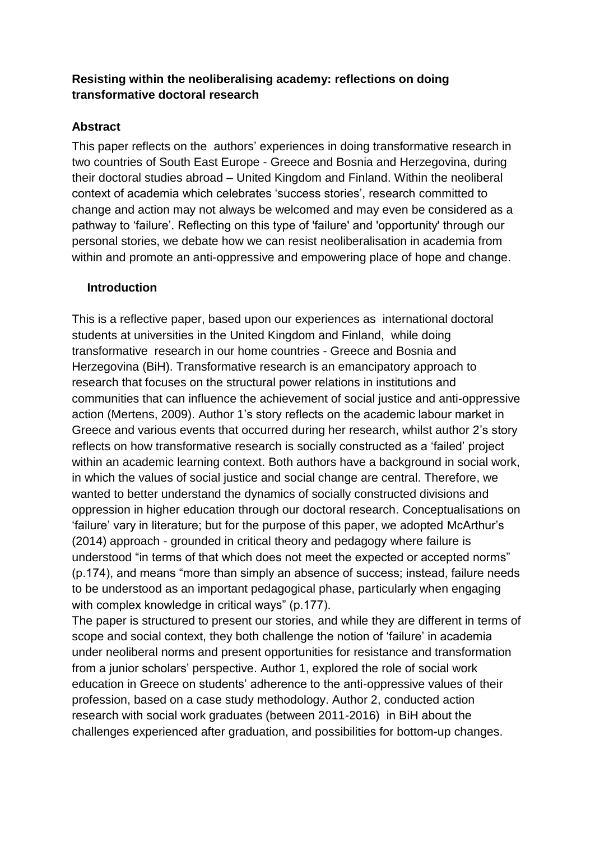# **Resisting within the neoliberalising academy: reflections on doing transformative doctoral research**

# **Abstract**

This paper reflects on the authors' experiences in doing transformative research in two countries of South East Europe - Greece and Bosnia and Herzegovina, during their doctoral studies abroad – United Kingdom and Finland. Within the neoliberal context of academia which celebrates 'success stories', research committed to change and action may not always be welcomed and may even be considered as a pathway to 'failure'. Reflecting on this type of 'failure' and 'opportunity' through our personal stories, we debate how we can resist neoliberalisation in academia from within and promote an anti-oppressive and empowering place of hope and change.

## **Introduction**

This is a reflective paper, based upon our experiences as international doctoral students at universities in the United Kingdom and Finland, while doing transformative research in our home countries - Greece and Bosnia and Herzegovina (BiH). Transformative research is an emancipatory approach to research that focuses on the structural power relations in institutions and communities that can influence the achievement of social justice and anti-oppressive action (Mertens, 2009). Author 1's story reflects on the academic labour market in Greece and various events that occurred during her research, whilst author 2's story reflects on how transformative research is socially constructed as a 'failed' project within an academic learning context. Both authors have a background in social work, in which the values of social justice and social change are central. Therefore, we wanted to better understand the dynamics of socially constructed divisions and oppression in higher education through our doctoral research. Conceptualisations on 'failure' vary in literature; but for the purpose of this paper, we adopted McArthur's (2014) approach - grounded in critical theory and pedagogy where failure is understood "in terms of that which does not meet the expected or accepted norms" (p.174), and means "more than simply an absence of success; instead, failure needs to be understood as an important pedagogical phase, particularly when engaging with complex knowledge in critical ways" (p.177).

The paper is structured to present our stories, and while they are different in terms of scope and social context, they both challenge the notion of 'failure' in academia under neoliberal norms and present opportunities for resistance and transformation from a junior scholars' perspective. Author 1, explored the role of social work education in Greece on students' adherence to the anti-oppressive values of their profession, based on a case study methodology. Author 2, conducted action research with social work graduates (between 2011-2016) in BiH about the challenges experienced after graduation, and possibilities for bottom-up changes.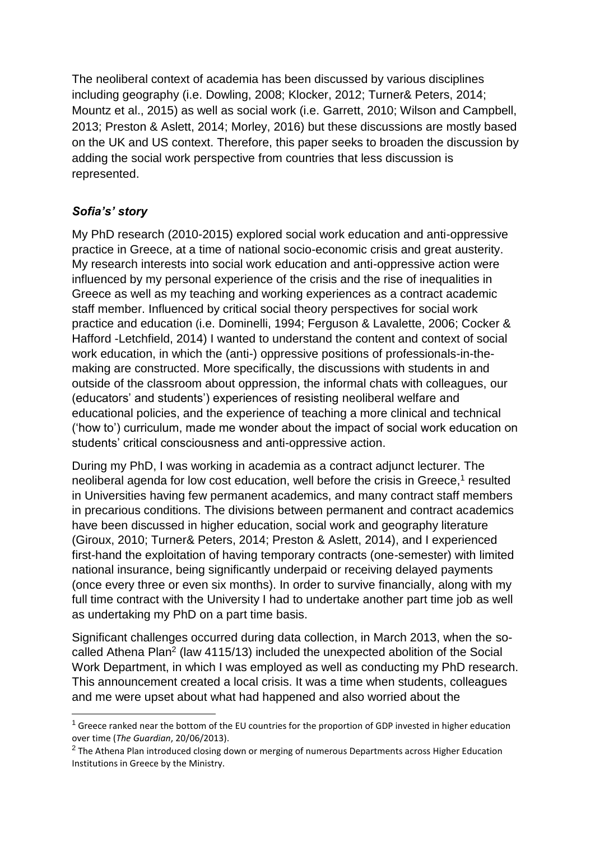The neoliberal context of academia has been discussed by various disciplines including geography (i.e. Dowling, 2008; Klocker, 2012; Turner& Peters, 2014; Mountz et al., 2015) as well as social work (i.e. Garrett, 2010; Wilson and Campbell, 2013; Preston & Aslett, 2014; Morley, 2016) but these discussions are mostly based on the UK and US context. Therefore, this paper seeks to broaden the discussion by adding the social work perspective from countries that less discussion is represented.

# *Sofia's' story*

-

My PhD research (2010-2015) explored social work education and anti-oppressive practice in Greece, at a time of national socio-economic crisis and great austerity. My research interests into social work education and anti-oppressive action were influenced by my personal experience of the crisis and the rise of inequalities in Greece as well as my teaching and working experiences as a contract academic staff member. Influenced by critical social theory perspectives for social work practice and education (i.e. Dominelli, 1994; Ferguson & Lavalette, 2006; Cocker & Hafford -Letchfield, 2014) I wanted to understand the content and context of social work education, in which the (anti-) oppressive positions of professionals-in-themaking are constructed. More specifically, the discussions with students in and outside of the classroom about oppression, the informal chats with colleagues, our (educators' and students') experiences of resisting neoliberal welfare and educational policies, and the experience of teaching a more clinical and technical ('how to') curriculum, made me wonder about the impact of social work education on students' critical consciousness and anti-oppressive action.

During my PhD, I was working in academia as a contract adjunct lecturer. The neoliberal agenda for low cost education, well before the crisis in Greece,<sup>1</sup> resulted in Universities having few permanent academics, and many contract staff members in precarious conditions. The divisions between permanent and contract academics have been discussed in higher education, social work and geography literature (Giroux, 2010; Turner& Peters, 2014; Preston & Aslett, 2014), and I experienced first-hand the exploitation of having temporary contracts (one-semester) with limited national insurance, being significantly underpaid or receiving delayed payments (once every three or even six months). In order to survive financially, along with my full time contract with the University I had to undertake another part time job as well as undertaking my PhD on a part time basis.

Significant challenges occurred during data collection, in March 2013, when the socalled Athena Plan<sup>2</sup> (law 4115/13) included the unexpected abolition of the Social Work Department, in which I was employed as well as conducting my PhD research. This announcement created a local crisis. It was a time when students, colleagues and me were upset about what had happened and also worried about the

 $1$  Greece ranked near the bottom of the EU countries for the proportion of GDP invested in higher education over time (*The Guardian*, 20/06/2013).

 $^{2}$  The Athena Plan introduced closing down or merging of numerous Departments across Higher Education Institutions in Greece by the Ministry.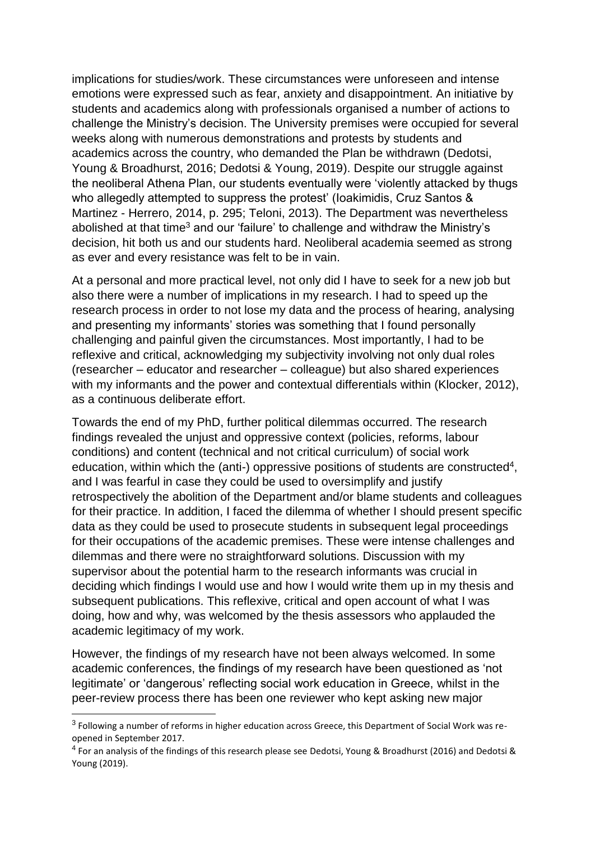implications for studies/work. These circumstances were unforeseen and intense emotions were expressed such as fear, anxiety and disappointment. An initiative by students and academics along with professionals organised a number of actions to challenge the Ministry's decision. The University premises were occupied for several weeks along with numerous demonstrations and protests by students and academics across the country, who demanded the Plan be withdrawn (Dedotsi, Young & Broadhurst, 2016; Dedotsi & Young, 2019). Despite our struggle against the neoliberal Athena Plan, our students eventually were 'violently attacked by thugs who allegedly attempted to suppress the protest' (loakimidis, Cruz Santos & Martinez - Herrero, 2014, p. 295; Teloni, 2013). The Department was nevertheless abolished at that time<sup>3</sup> and our 'failure' to challenge and withdraw the Ministry's decision, hit both us and our students hard. Neoliberal academia seemed as strong as ever and every resistance was felt to be in vain.

At a personal and more practical level, not only did I have to seek for a new job but also there were a number of implications in my research. I had to speed up the research process in order to not lose my data and the process of hearing, analysing and presenting my informants' stories was something that I found personally challenging and painful given the circumstances. Most importantly, I had to be reflexive and critical, acknowledging my subjectivity involving not only dual roles (researcher – educator and researcher – colleague) but also shared experiences with my informants and the power and contextual differentials within (Klocker, 2012), as a continuous deliberate effort.

Towards the end of my PhD, further political dilemmas occurred. The research findings revealed the unjust and oppressive context (policies, reforms, labour conditions) and content (technical and not critical curriculum) of social work education, within which the (anti-) oppressive positions of students are constructed<sup>4</sup>, and I was fearful in case they could be used to oversimplify and justify retrospectively the abolition of the Department and/or blame students and colleagues for their practice. In addition, I faced the dilemma of whether I should present specific data as they could be used to prosecute students in subsequent legal proceedings for their occupations of the academic premises. These were intense challenges and dilemmas and there were no straightforward solutions. Discussion with my supervisor about the potential harm to the research informants was crucial in deciding which findings I would use and how I would write them up in my thesis and subsequent publications. This reflexive, critical and open account of what I was doing, how and why, was welcomed by the thesis assessors who applauded the academic legitimacy of my work.

However, the findings of my research have not been always welcomed. In some academic conferences, the findings of my research have been questioned as 'not legitimate' or 'dangerous' reflecting social work education in Greece, whilst in the peer-review process there has been one reviewer who kept asking new major

-

<sup>&</sup>lt;sup>3</sup> Following a number of reforms in higher education across Greece, this Department of Social Work was reopened in September 2017.

<sup>&</sup>lt;sup>4</sup> For an analysis of the findings of this research please see Dedotsi, Young & Broadhurst (2016) and Dedotsi & Young (2019).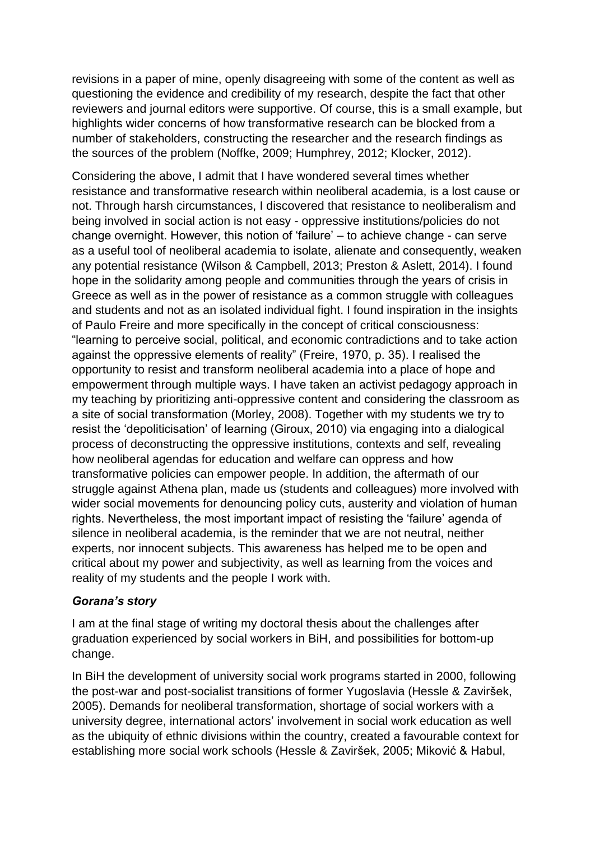revisions in a paper of mine, openly disagreeing with some of the content as well as questioning the evidence and credibility of my research, despite the fact that other reviewers and journal editors were supportive. Of course, this is a small example, but highlights wider concerns of how transformative research can be blocked from a number of stakeholders, constructing the researcher and the research findings as the sources of the problem (Noffke, 2009; Humphrey, 2012; Klocker, 2012).

Considering the above, I admit that I have wondered several times whether resistance and transformative research within neoliberal academia, is a lost cause or not. Through harsh circumstances, I discovered that resistance to neoliberalism and being involved in social action is not easy - oppressive institutions/policies do not change overnight. However, this notion of 'failure' – to achieve change - can serve as a useful tool of neoliberal academia to isolate, alienate and consequently, weaken any potential resistance (Wilson & Campbell, 2013; Preston & Aslett, 2014). I found hope in the solidarity among people and communities through the years of crisis in Greece as well as in the power of resistance as a common struggle with colleagues and students and not as an isolated individual fight. I found inspiration in the insights of Paulo Freire and more specifically in the concept of critical consciousness: "learning to perceive social, political, and economic contradictions and to take action against the oppressive elements of reality" (Freire, 1970, p. 35). I realised the opportunity to resist and transform neoliberal academia into a place of hope and empowerment through multiple ways. I have taken an activist pedagogy approach in my teaching by prioritizing anti-oppressive content and considering the classroom as a site of social transformation (Morley, 2008). Together with my students we try to resist the 'depoliticisation' of learning (Giroux, 2010) via engaging into a dialogical process of deconstructing the oppressive institutions, contexts and self, revealing how neoliberal agendas for education and welfare can oppress and how transformative policies can empower people. In addition, the aftermath of our struggle against Athena plan, made us (students and colleagues) more involved with wider social movements for denouncing policy cuts, austerity and violation of human rights. Nevertheless, the most important impact of resisting the 'failure' agenda of silence in neoliberal academia, is the reminder that we are not neutral, neither experts, nor innocent subjects. This awareness has helped me to be open and critical about my power and subjectivity, as well as learning from the voices and reality of my students and the people I work with.

#### *Gorana's story*

I am at the final stage of writing my doctoral thesis about the challenges after graduation experienced by social workers in BiH, and possibilities for bottom-up change.

In BiH the development of university social work programs started in 2000, following the post-war and post-socialist transitions of former Yugoslavia (Hessle & Zaviršek, 2005). Demands for neoliberal transformation, shortage of social workers with a university degree, international actors' involvement in social work education as well as the ubiquity of ethnic divisions within the country, created a favourable context for establishing more social work schools (Hessle & Zaviršek, 2005; Miković & Habul,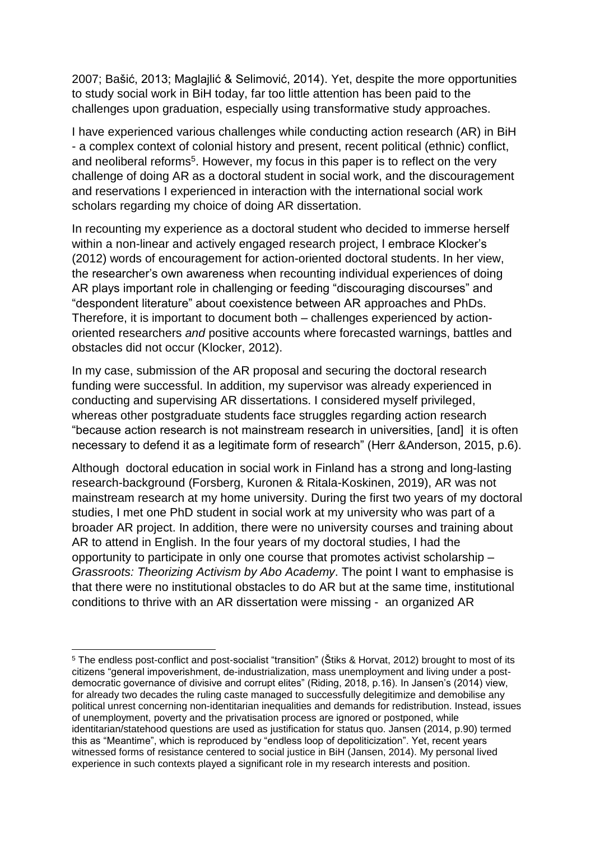2007; Bašić, 2013; Maglajlić & Selimović, 2014). Yet, despite the more opportunities to study social work in BiH today, far too little attention has been paid to the challenges upon graduation, especially using transformative study approaches.

I have experienced various challenges while conducting action research (AR) in BiH - a complex context of colonial history and present, recent political (ethnic) conflict, and neoliberal reforms<sup>5</sup>. However, my focus in this paper is to reflect on the very challenge of doing AR as a doctoral student in social work, and the discouragement and reservations I experienced in interaction with the international social work scholars regarding my choice of doing AR dissertation.

In recounting my experience as a doctoral student who decided to immerse herself within a non-linear and actively engaged research project, I embrace Klocker's (2012) words of encouragement for action-oriented doctoral students. In her view, the researcher's own awareness when recounting individual experiences of doing AR plays important role in challenging or feeding "discouraging discourses" and "despondent literature" about coexistence between AR approaches and PhDs. Therefore, it is important to document both – challenges experienced by actionoriented researchers *and* positive accounts where forecasted warnings, battles and obstacles did not occur (Klocker, 2012).

In my case, submission of the AR proposal and securing the doctoral research funding were successful. In addition, my supervisor was already experienced in conducting and supervising AR dissertations. I considered myself privileged, whereas other postgraduate students face struggles regarding action research "because action research is not mainstream research in universities, [and] it is often necessary to defend it as a legitimate form of research" (Herr &Anderson, 2015, p.6).

Although doctoral education in social work in Finland has a strong and long-lasting research-background (Forsberg, Kuronen & Ritala-Koskinen, 2019), AR was not mainstream research at my home university. During the first two years of my doctoral studies, I met one PhD student in social work at my university who was part of a broader AR project. In addition, there were no university courses and training about AR to attend in English. In the four years of my doctoral studies, I had the opportunity to participate in only one course that promotes activist scholarship – *Grassroots: Theorizing Activism by Abo Academy*. The point I want to emphasise is that there were no institutional obstacles to do AR but at the same time, institutional conditions to thrive with an AR dissertation were missing - an organized AR

-

<sup>5</sup> The endless post-conflict and post-socialist "transition" (Štiks & Horvat, 2012) brought to most of its citizens "general impoverishment, de-industrialization, mass unemployment and living under a postdemocratic governance of divisive and corrupt elites" (Riding, 2018, p.16). In Jansen's (2014) view, for already two decades the ruling caste managed to successfully delegitimize and demobilise any political unrest concerning non-identitarian inequalities and demands for redistribution. Instead, issues of unemployment, poverty and the privatisation process are ignored or postponed, while identitarian/statehood questions are used as justification for status quo. Jansen (2014, p.90) termed this as "Meantime", which is reproduced by "endless loop of depoliticization". Yet, recent years witnessed forms of resistance centered to social justice in BiH (Jansen, 2014). My personal lived experience in such contexts played a significant role in my research interests and position.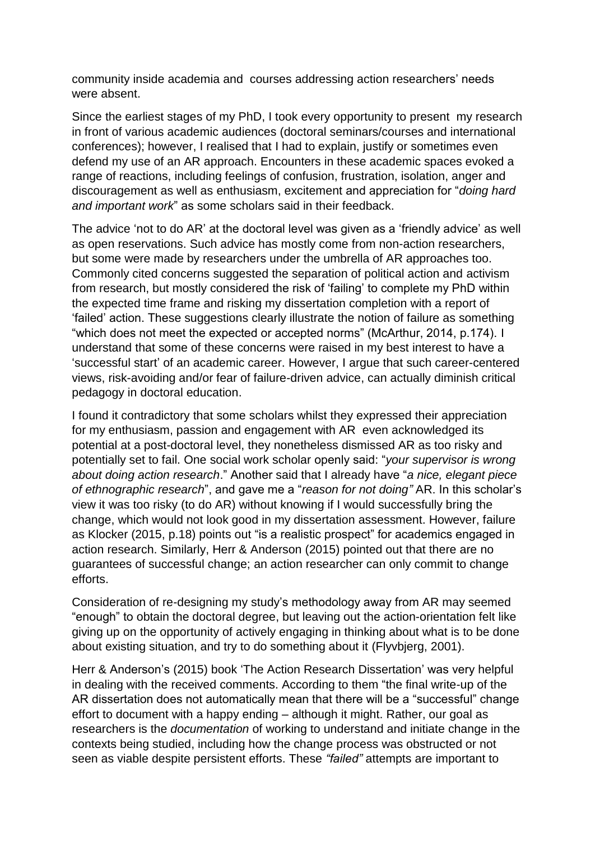community inside academia and courses addressing action researchers' needs were absent.

Since the earliest stages of my PhD, I took every opportunity to present my research in front of various academic audiences (doctoral seminars/courses and international conferences); however, I realised that I had to explain, justify or sometimes even defend my use of an AR approach. Encounters in these academic spaces evoked a range of reactions, including feelings of confusion, frustration, isolation, anger and discouragement as well as enthusiasm, excitement and appreciation for "*doing hard and important work*" as some scholars said in their feedback.

The advice 'not to do AR' at the doctoral level was given as a 'friendly advice' as well as open reservations. Such advice has mostly come from non-action researchers, but some were made by researchers under the umbrella of AR approaches too. Commonly cited concerns suggested the separation of political action and activism from research, but mostly considered the risk of 'failing' to complete my PhD within the expected time frame and risking my dissertation completion with a report of 'failed' action. These suggestions clearly illustrate the notion of failure as something "which does not meet the expected or accepted norms" (McArthur, 2014, p.174). I understand that some of these concerns were raised in my best interest to have a 'successful start' of an academic career. However, I argue that such career-centered views, risk-avoiding and/or fear of failure-driven advice, can actually diminish critical pedagogy in doctoral education.

I found it contradictory that some scholars whilst they expressed their appreciation for my enthusiasm, passion and engagement with AR even acknowledged its potential at a post-doctoral level, they nonetheless dismissed AR as too risky and potentially set to fail. One social work scholar openly said: "*your supervisor is wrong about doing action research*." Another said that I already have "*a nice, elegant piece of ethnographic research*", and gave me a "*reason for not doing"* AR. In this scholar's view it was too risky (to do AR) without knowing if I would successfully bring the change, which would not look good in my dissertation assessment. However, failure as Klocker (2015, p.18) points out "is a realistic prospect" for academics engaged in action research. Similarly, Herr & Anderson (2015) pointed out that there are no guarantees of successful change; an action researcher can only commit to change efforts.

Consideration of re-designing my study's methodology away from AR may seemed "enough" to obtain the doctoral degree, but leaving out the action-orientation felt like giving up on the opportunity of actively engaging in thinking about what is to be done about existing situation, and try to do something about it (Flyvbjerg, 2001).

Herr & Anderson's (2015) book 'The Action Research Dissertation' was very helpful in dealing with the received comments. According to them "the final write-up of the AR dissertation does not automatically mean that there will be a "successful" change effort to document with a happy ending – although it might. Rather, our goal as researchers is the *documentation* of working to understand and initiate change in the contexts being studied, including how the change process was obstructed or not seen as viable despite persistent efforts. These *"failed"* attempts are important to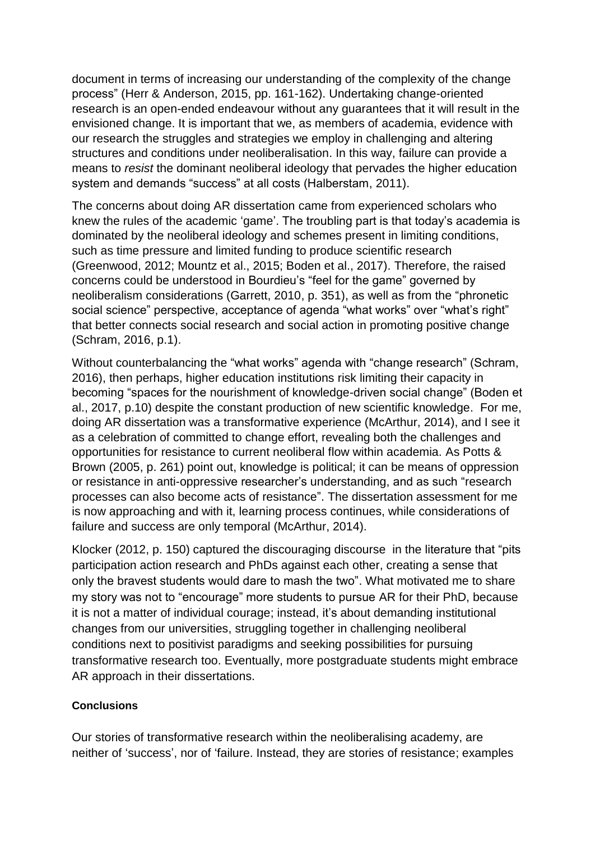document in terms of increasing our understanding of the complexity of the change process" (Herr & Anderson, 2015, pp. 161-162). Undertaking change-oriented research is an open-ended endeavour without any guarantees that it will result in the envisioned change. It is important that we, as members of academia, evidence with our research the struggles and strategies we employ in challenging and altering structures and conditions under neoliberalisation. In this way, failure can provide a means to *resist* the dominant neoliberal ideology that pervades the higher education system and demands "success" at all costs (Halberstam, 2011).

The concerns about doing AR dissertation came from experienced scholars who knew the rules of the academic 'game'. The troubling part is that today's academia is dominated by the neoliberal ideology and schemes present in limiting conditions, such as time pressure and limited funding to produce scientific research (Greenwood, 2012; Mountz et al., 2015; Boden et al., 2017). Therefore, the raised concerns could be understood in Bourdieu's "feel for the game" governed by neoliberalism considerations (Garrett, 2010, p. 351), as well as from the "phronetic social science" perspective, acceptance of agenda "what works" over "what's right" that better connects social research and social action in promoting positive change (Schram, 2016, p.1).

Without counterbalancing the "what works" agenda with "change research" (Schram, 2016), then perhaps, higher education institutions risk limiting their capacity in becoming "spaces for the nourishment of knowledge-driven social change" (Boden et al., 2017, p.10) despite the constant production of new scientific knowledge. For me, doing AR dissertation was a transformative experience (McArthur, 2014), and I see it as a celebration of committed to change effort, revealing both the challenges and opportunities for resistance to current neoliberal flow within academia. As Potts & Brown (2005, p. 261) point out, knowledge is political; it can be means of oppression or resistance in anti-oppressive researcher's understanding, and as such "research processes can also become acts of resistance". The dissertation assessment for me is now approaching and with it, learning process continues, while considerations of failure and success are only temporal (McArthur, 2014).

Klocker (2012, p. 150) captured the discouraging discourse in the literature that "pits participation action research and PhDs against each other, creating a sense that only the bravest students would dare to mash the two". What motivated me to share my story was not to "encourage" more students to pursue AR for their PhD, because it is not a matter of individual courage; instead, it's about demanding institutional changes from our universities, struggling together in challenging neoliberal conditions next to positivist paradigms and seeking possibilities for pursuing transformative research too. Eventually, more postgraduate students might embrace AR approach in their dissertations.

#### **Conclusions**

Our stories of transformative research within the neoliberalising academy, are neither of 'success', nor of 'failure. Instead, they are stories of resistance; examples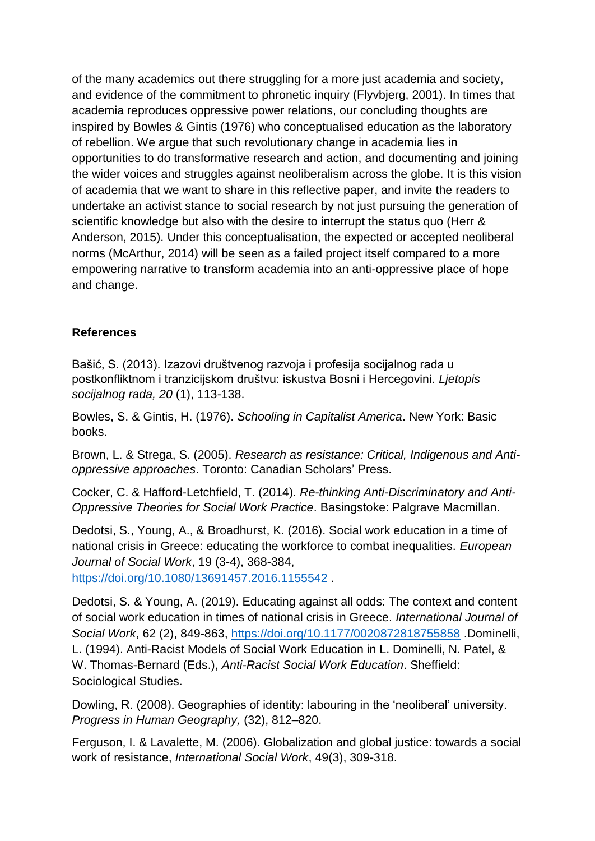of the many academics out there struggling for a more just academia and society, and evidence of the commitment to phronetic inquiry (Flyvbjerg, 2001). In times that academia reproduces oppressive power relations, our concluding thoughts are inspired by Bowles & Gintis (1976) who conceptualised education as the laboratory of rebellion. We argue that such revolutionary change in academia lies in opportunities to do transformative research and action, and documenting and joining the wider voices and struggles against neoliberalism across the globe. It is this vision of academia that we want to share in this reflective paper, and invite the readers to undertake an activist stance to social research by not just pursuing the generation of scientific knowledge but also with the desire to interrupt the status quo (Herr & Anderson, 2015). Under this conceptualisation, the expected or accepted neoliberal norms (McArthur, 2014) will be seen as a failed project itself compared to a more empowering narrative to transform academia into an anti-oppressive place of hope and change.

## **References**

Bašić, S. (2013). Izazovi društvenog razvoja i profesija socijalnog rada u postkonfliktnom i tranzicijskom društvu: iskustva Bosni i Hercegovini. *Ljetopis socijalnog rada, 20* (1), 113-138.

Bowles, S. & Gintis, H. (1976). *Schooling in Capitalist America*. New York: Basic books.

Brown, L. & Strega, S. (2005). *Research as resistance: Critical, Indigenous and Antioppressive approaches*. Toronto: Canadian Scholars' Press.

Cocker, C. & Hafford-Letchfield, T. (2014). *Re-thinking Anti-Discriminatory and Anti-Oppressive Theories for Social Work Practice*. Basingstoke: Palgrave Macmillan.

Dedotsi, S., Young, A., & Broadhurst, K. (2016). Social work education in a time of national crisis in Greece: educating the workforce to combat inequalities. *European Journal of Social Work*, 19 (3-4), 368-384,

<https://doi.org/10.1080/13691457.2016.1155542> .

Dedotsi, S. & Young, A. (2019). Educating against all odds: The context and content of social work education in times of national crisis in Greece. *International Journal of Social Work*, 62 (2), 849-863,<https://doi.org/10.1177/0020872818755858> .Dominelli, L. (1994). Anti-Racist Models of Social Work Education in L. Dominelli, N. Patel, & W. Thomas-Bernard (Eds.), *Anti-Racist Social Work Education*. Sheffield: Sociological Studies.

Dowling, R. (2008). Geographies of identity: labouring in the 'neoliberal' university. *Progress in Human Geography,* (32), 812–820.

Ferguson, I. & Lavalette, M. (2006). Globalization and global justice: towards a social work of resistance, *International Social Work*, 49(3), 309-318.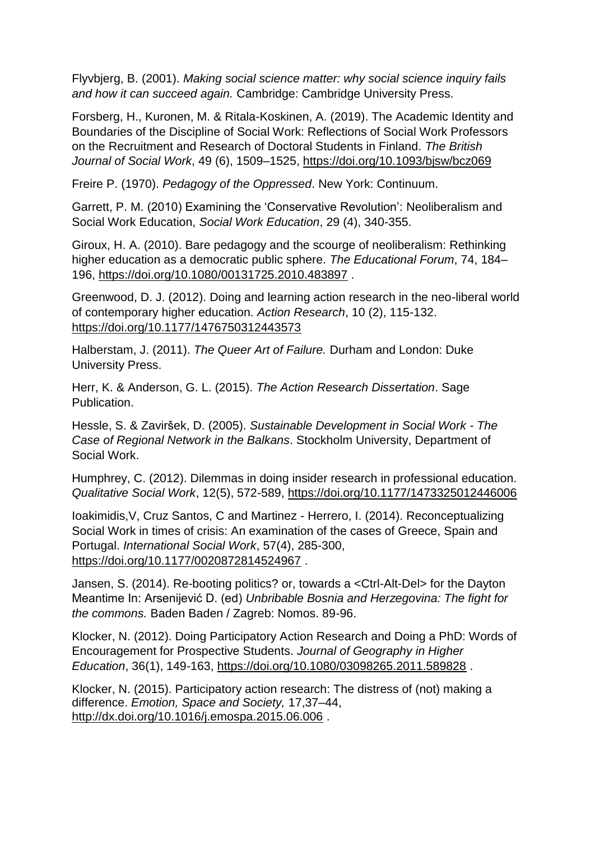Flyvbjerg, B. (2001). *Making social science matter: why social science inquiry fails and how it can succeed again.* Cambridge: Cambridge University Press.

Forsberg, H., Kuronen, M. & Ritala-Koskinen, A. (2019). The Academic Identity and Boundaries of the Discipline of Social Work: Reflections of Social Work Professors on the Recruitment and Research of Doctoral Students in Finland. *The British Journal of Social Work*, 49 (6), 1509–1525,<https://doi.org/10.1093/bjsw/bcz069>

Freire P. (1970). *Pedagogy of the Oppressed*. New York: Continuum.

Garrett, P. M. (2010) Examining the 'Conservative Revolution': Neoliberalism and Social Work Education, *Social Work Education*, 29 (4), 340-355.

Giroux, H. A. (2010). Bare pedagogy and the scourge of neoliberalism: Rethinking higher education as a democratic public sphere. *The Educational Forum*, 74, 184– 196,<https://doi.org/10.1080/00131725.2010.483897> .

Greenwood, D. J. (2012). Doing and learning action research in the neo-liberal world of contemporary higher education. *Action Research*, 10 (2), 115-132. <https://doi.org/10.1177/1476750312443573>

Halberstam, J. (2011). *The Queer Art of Failure.* Durham and London: Duke University Press.

Herr, K. & Anderson, G. L. (2015). *The Action Research Dissertation*. Sage Publication.

Hessle, S. & Zaviršek, D. (2005). *Sustainable Development in Social Work - The Case of Regional Network in the Balkans*. Stockholm University, Department of Social Work.

Humphrey, C. (2012). Dilemmas in doing insider research in professional education. *Qualitative Social Work*, 12(5), 572-589,<https://doi.org/10.1177/1473325012446006>

Ioakimidis,V, Cruz Santos, C and Martinez - Herrero, I. (2014). Reconceptualizing Social Work in times of crisis: An examination of the cases of Greece, Spain and Portugal. *International Social Work*, 57(4), 285-300, <https://doi.org/10.1177/0020872814524967> .

Jansen, S. (2014). Re-booting politics? or, towards a <Ctrl-Alt-Del> for the Dayton Meantime In: Arsenijević D. (ed) *Unbribable Bosnia and Herzegovina: The fight for the commons.* Baden Baden / Zagreb: Nomos. 89-96.

Klocker, N. (2012). Doing Participatory Action Research and Doing a PhD: Words of Encouragement for Prospective Students. *Journal of Geography in Higher Education*, 36(1), 149-163,<https://doi.org/10.1080/03098265.2011.589828> .

Klocker, N. (2015). Participatory action research: The distress of (not) making a difference. *Emotion, Space and Society,* 17,37–44, <http://dx.doi.org/10.1016/j.emospa.2015.06.006>.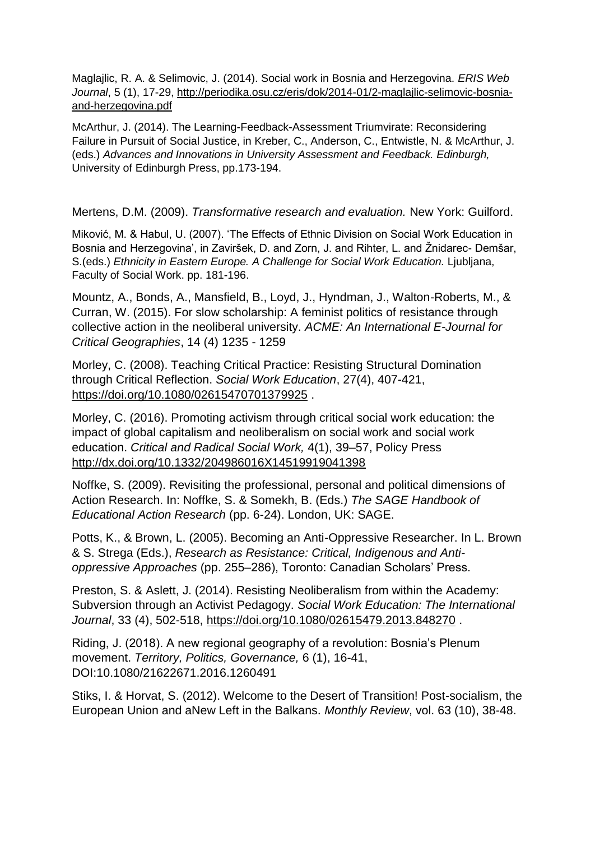Maglajlic, R. A. & Selimovic, J. (2014). Social work in Bosnia and Herzegovina. *ERIS Web Journal*, 5 (1), 17-29, [http://periodika.osu.cz/eris/dok/2014-01/2-maglajlic-selimovic-bosnia](http://periodika.osu.cz/eris/dok/2014-01/2-maglajlic-selimovic-bosnia-and-herzegovina.pdf)[and-herzegovina.pdf](http://periodika.osu.cz/eris/dok/2014-01/2-maglajlic-selimovic-bosnia-and-herzegovina.pdf)

McArthur, J. (2014). The Learning-Feedback-Assessment Triumvirate: Reconsidering Failure in Pursuit of Social Justice, in Kreber, C., Anderson, C., Entwistle, N. & McArthur, J. (eds.) *Advances and Innovations in University Assessment and Feedback. Edinburgh,*  University of Edinburgh Press, pp.173-194.

Mertens, D.M. (2009). *Transformative research and evaluation.* New York: Guilford.

Miković, M. & Habul, U. (2007). 'The Effects of Ethnic Division on Social Work Education in Bosnia and Herzegovina', in Zaviršek, D. and Zorn, J. and Rihter, L. and Žnidarec- Demšar, S.(eds.) *Ethnicity in Eastern Europe. A Challenge for Social Work Education.* Ljubljana, Faculty of Social Work. pp. 181-196.

Mountz, A., Bonds, A., Mansfield, B., Loyd, J., Hyndman, J., Walton-Roberts, M., & Curran, W. (2015). For slow scholarship: A feminist politics of resistance through collective action in the neoliberal university. *ACME: An International E-Journal for Critical Geographies*, 14 (4) 1235 - 1259

Morley, C. (2008). Teaching Critical Practice: Resisting Structural Domination through Critical Reflection. *Social Work Education*, 27(4), 407-421, <https://doi.org/10.1080/02615470701379925>.

Morley, C. (2016). Promoting activism through critical social work education: the impact of global capitalism and neoliberalism on social work and social work education. *Critical and Radical Social Work,* 4(1), 39–57, Policy Press <http://dx.doi.org/10.1332/204986016X14519919041398>

Noffke, S. (2009). Revisiting the professional, personal and political dimensions of Action Research. In: Noffke, S. & Somekh, B. (Eds.) *The SAGE Handbook of Educational Action Research* (pp. 6-24). London, UK: SAGE.

Potts, K., & Brown, L. (2005). Becoming an Anti-Oppressive Researcher. In L. Brown & S. Strega (Eds.), *Research as Resistance: Critical, Indigenous and Antioppressive Approaches* (pp. 255–286), Toronto: Canadian Scholars' Press.

Preston, S. & Aslett, J. (2014). Resisting Neoliberalism from within the Academy: Subversion through an Activist Pedagogy. *Social Work Education: The International Journal*, 33 (4), 502-518,<https://doi.org/10.1080/02615479.2013.848270> .

Riding, J. (2018). A new regional geography of a revolution: Bosnia's Plenum movement. *Territory, Politics, Governance,* 6 (1), 16-41, DOI:10.1080/21622671.2016.1260491

Stiks, I. & Horvat, S. (2012). Welcome to the Desert of Transition! Post-socialism, the European Union and aNew Left in the Balkans. *Monthly Review*, vol. 63 (10), 38-48.